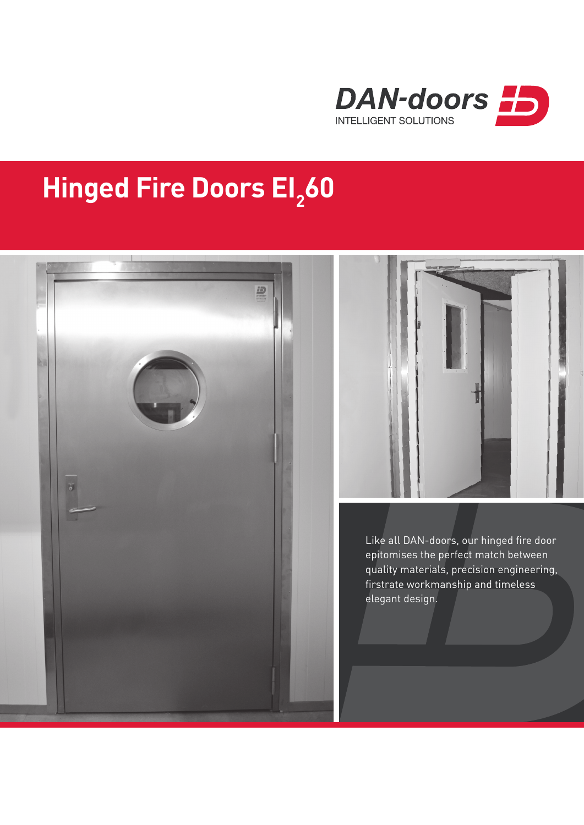

## **Hinged Fire Doors El<sub>2</sub>60**





Like all DAN-doors, our hinged fire door epitomises the perfect match between quality materials, precision engineering, firstrate workmanship and timeless elegant design.